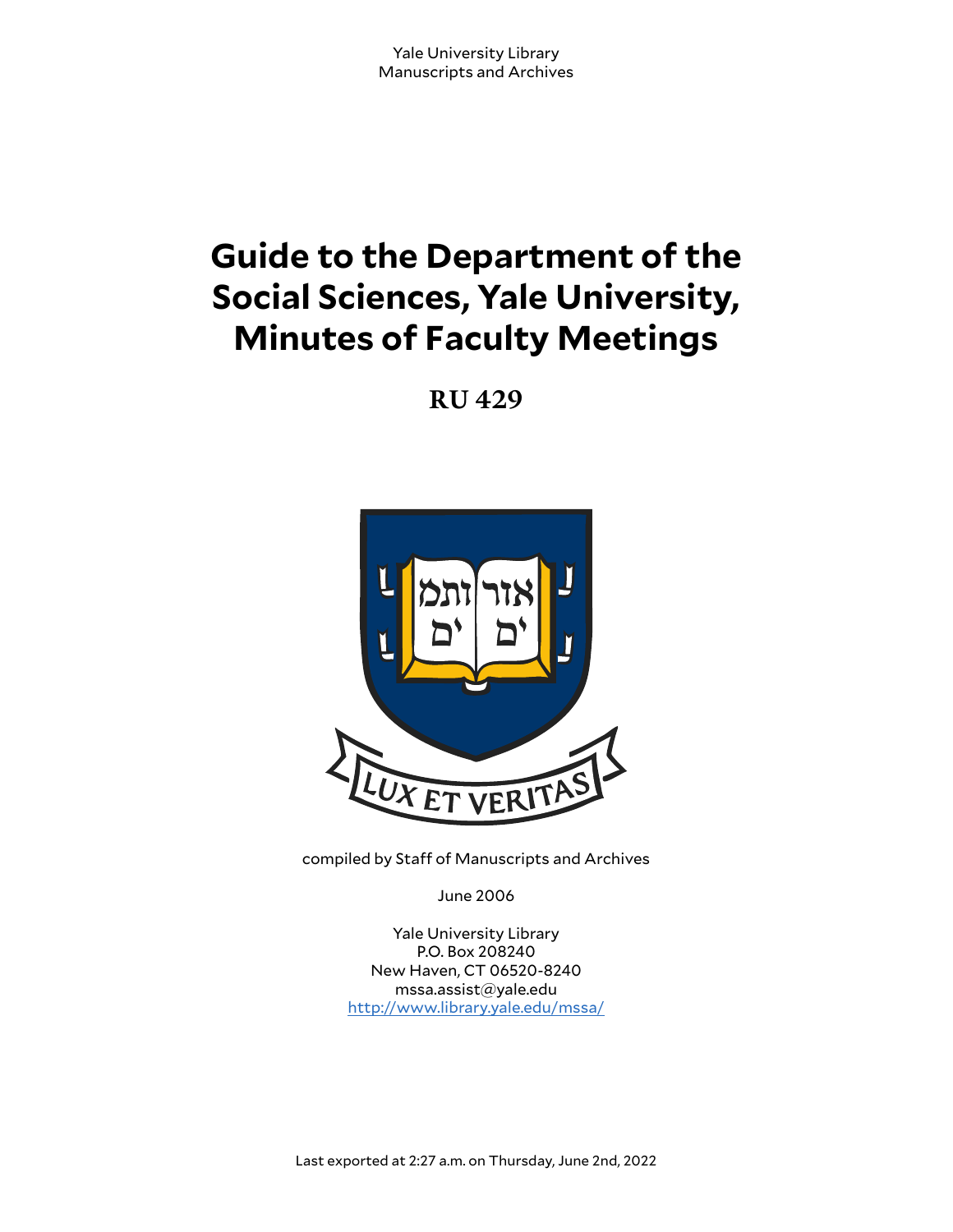# **Guide to the Department of the Social Sciences, Yale University, Minutes of Faculty Meetings**

**RU 429**



compiled by Staff of Manuscripts and Archives

June 2006

Yale University Library P.O. Box 208240 New Haven, CT 06520-8240 mssa.assist@yale.edu <http://www.library.yale.edu/mssa/>

Last exported at 2:27 a.m. on Thursday, June 2nd, 2022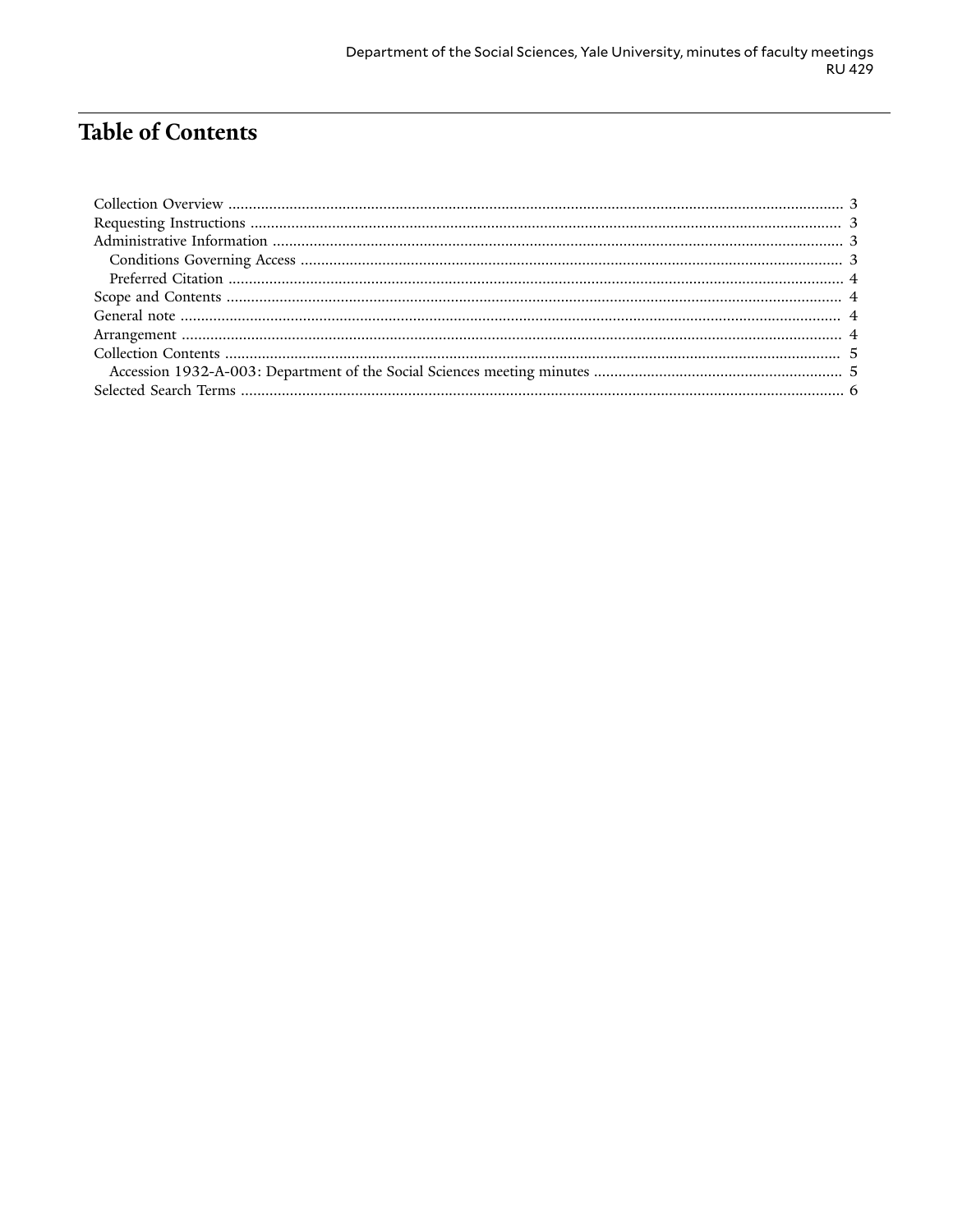# **Table of Contents**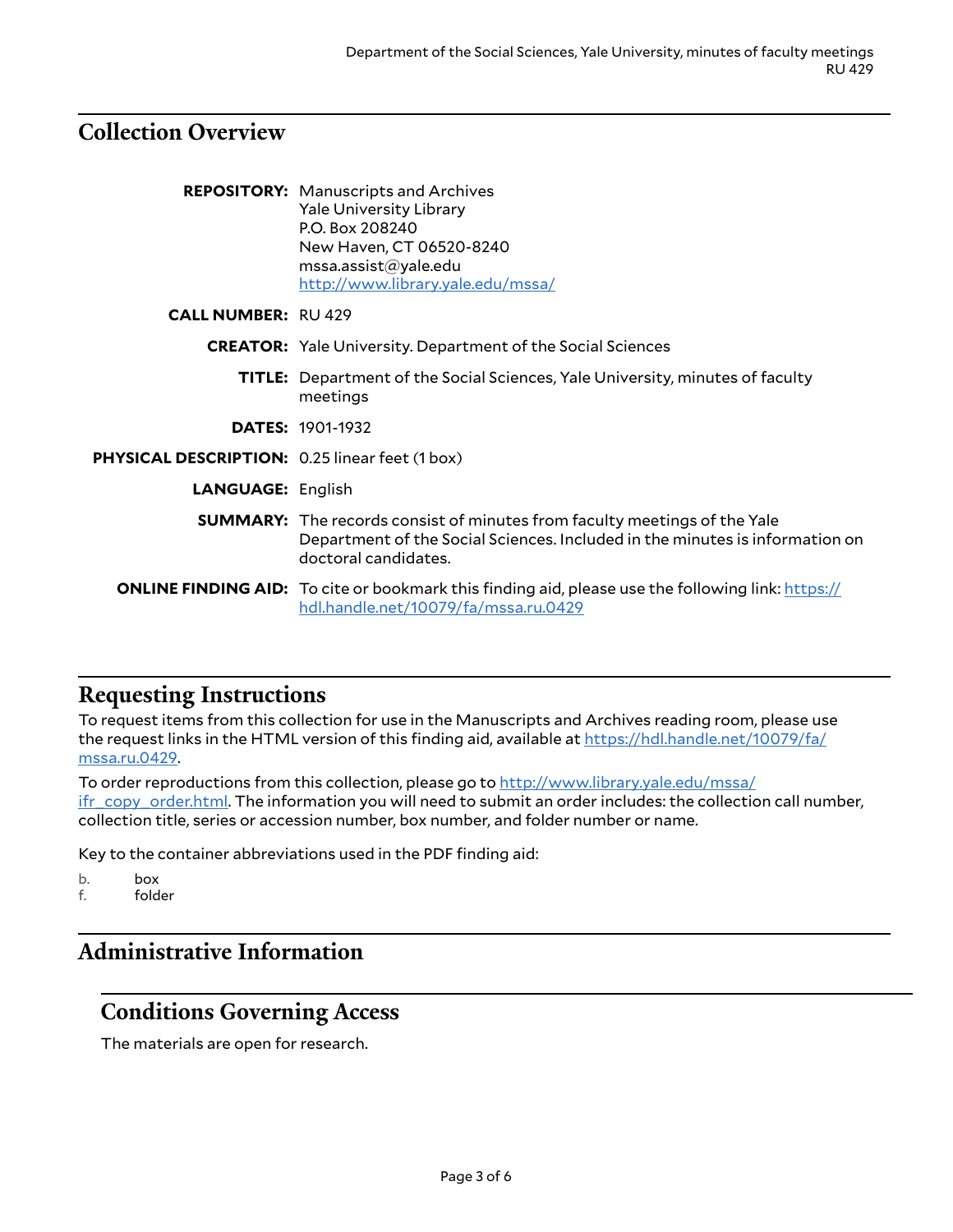## <span id="page-2-0"></span>**Collection Overview**

|                                                       | <b>REPOSITORY:</b> Manuscripts and Archives<br><b>Yale University Library</b><br>P.O. Box 208240                                                                                         |
|-------------------------------------------------------|------------------------------------------------------------------------------------------------------------------------------------------------------------------------------------------|
|                                                       | New Haven, CT 06520-8240<br>mssa.assist@yale.edu<br>http://www.library.yale.edu/mssa/                                                                                                    |
| <b>CALL NUMBER: RU 429</b>                            |                                                                                                                                                                                          |
|                                                       | <b>CREATOR:</b> Yale University. Department of the Social Sciences                                                                                                                       |
|                                                       | <b>TITLE:</b> Department of the Social Sciences, Yale University, minutes of faculty<br>meetings                                                                                         |
|                                                       | <b>DATES: 1901-1932</b>                                                                                                                                                                  |
| <b>PHYSICAL DESCRIPTION: 0.25 linear feet (1 box)</b> |                                                                                                                                                                                          |
| <b>LANGUAGE: English</b>                              |                                                                                                                                                                                          |
|                                                       | <b>SUMMARY:</b> The records consist of minutes from faculty meetings of the Yale<br>Department of the Social Sciences. Included in the minutes is information on<br>doctoral candidates. |
|                                                       | <b>ONLINE FINDING AID:</b> To cite or bookmark this finding aid, please use the following link: https://<br>hdl.handle.net/10079/fa/mssa.ru.0429                                         |

### <span id="page-2-1"></span>**Requesting Instructions**

To request items from this collection for use in the Manuscripts and Archives reading room, please use the request links in the HTML version of this finding aid, available at [https://hdl.handle.net/10079/fa/](https://hdl.handle.net/10079/fa/mssa.ru.0429) [mssa.ru.0429](https://hdl.handle.net/10079/fa/mssa.ru.0429).

To order reproductions from this collection, please go to [http://www.library.yale.edu/mssa/](http://www.library.yale.edu/mssa/ifr_copy_order.html) [ifr\\_copy\\_order.html.](http://www.library.yale.edu/mssa/ifr_copy_order.html) The information you will need to submit an order includes: the collection call number, collection title, series or accession number, box number, and folder number or name.

Key to the container abbreviations used in the PDF finding aid:

b. box

f. folder

# <span id="page-2-2"></span>**Administrative Information**

### <span id="page-2-3"></span>**Conditions Governing Access**

The materials are open for research.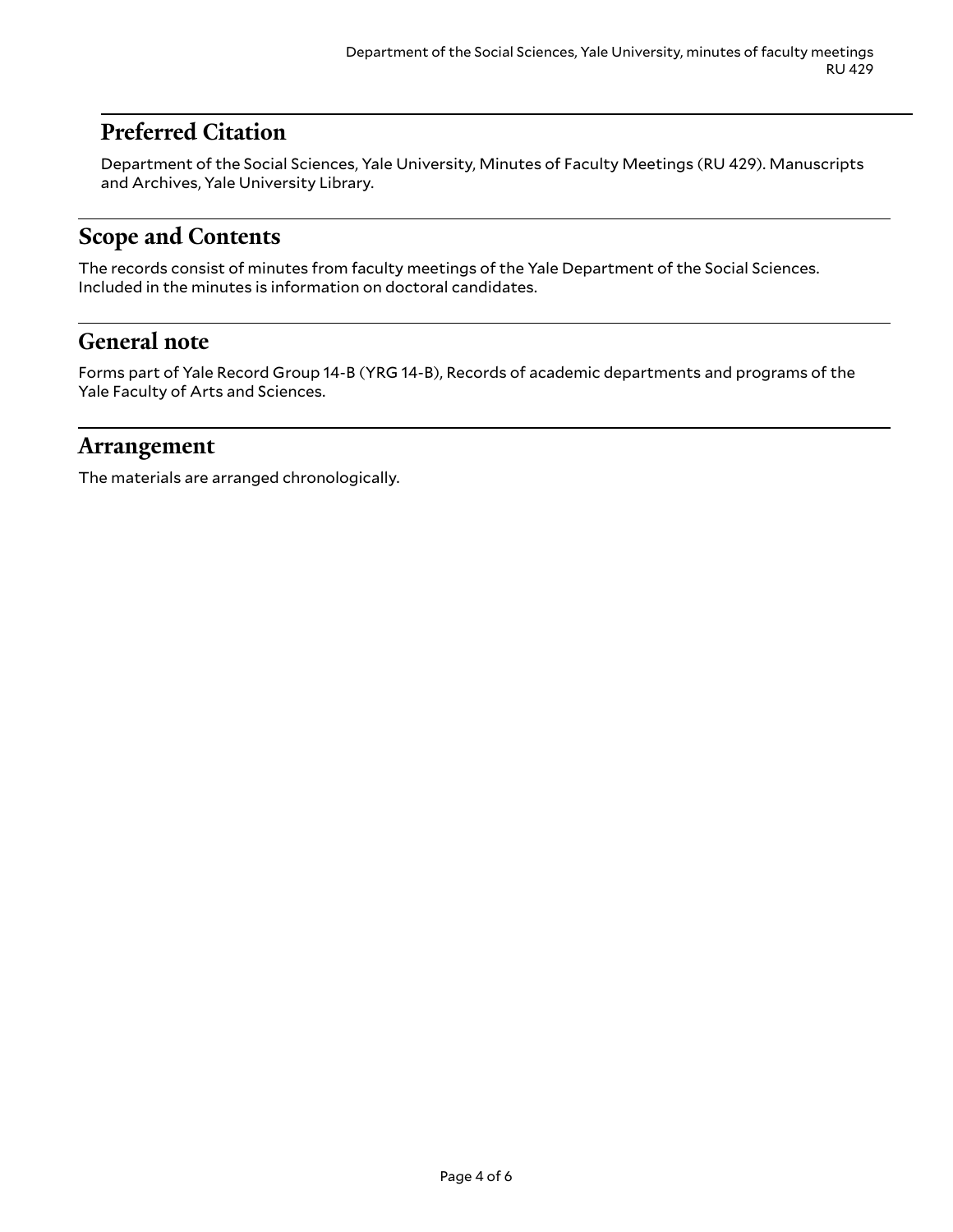# <span id="page-3-0"></span>**Preferred Citation**

Department of the Social Sciences, Yale University, Minutes of Faculty Meetings (RU 429). Manuscripts and Archives, Yale University Library.

# <span id="page-3-1"></span>**Scope and Contents**

The records consist of minutes from faculty meetings of the Yale Department of the Social Sciences. Included in the minutes is information on doctoral candidates.

# <span id="page-3-2"></span>**General note**

Forms part of Yale Record Group 14-B (YRG 14-B), Records of academic departments and programs of the Yale Faculty of Arts and Sciences.

### <span id="page-3-3"></span>**Arrangement**

The materials are arranged chronologically.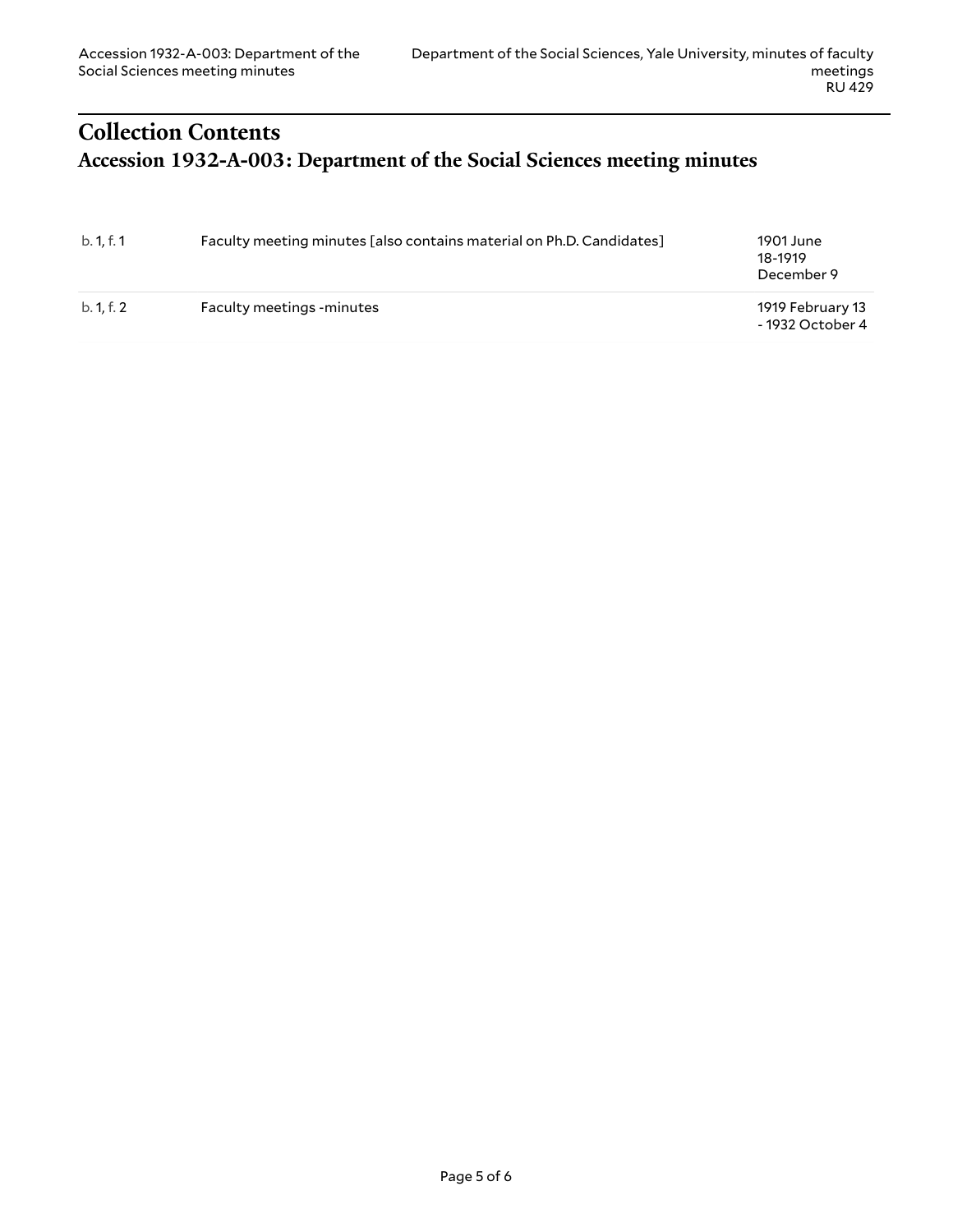# <span id="page-4-1"></span><span id="page-4-0"></span>**Collection Contents Accession 1932-A-003: Department of the Social Sciences meeting minutes**

| b. 1, f. 1 | Faculty meeting minutes [also contains material on Ph.D. Candidates] | 1901 June<br>18-1919<br>December 9   |
|------------|----------------------------------------------------------------------|--------------------------------------|
| b. 1.f. 2  | <b>Faculty meetings -minutes</b>                                     | 1919 February 13<br>- 1932 October 4 |